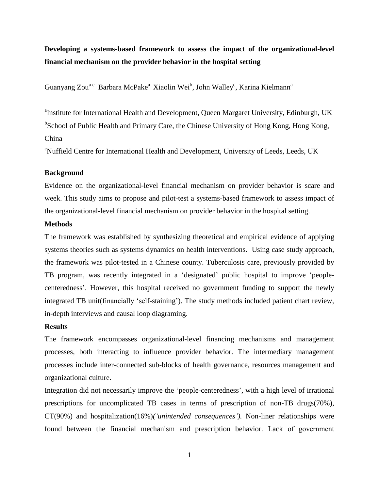# **Developing a systems-based framework to assess the impact of the organizational-level financial mechanism on the provider behavior in the hospital setting**

Guanyang Zou<sup>a c</sup> Barbara McPake<sup>a</sup> Xiaolin Wei<sup>b</sup>, John Walley<sup>c</sup>, Karina Kielmann<sup>a</sup>

<sup>a</sup>Institute for International Health and Development, Queen Margaret University, Edinburgh, UK <sup>b</sup>School of Public Health and Primary Care, the Chinese University of Hong Kong, Hong Kong, China

<sup>c</sup>Nuffield Centre for International Health and Development, University of Leeds, Leeds, UK

### **Background**

Evidence on the organizational-level financial mechanism on provider behavior is scare and week. This study aims to propose and pilot-test a systems-based framework to assess impact of the organizational-level financial mechanism on provider behavior in the hospital setting.

### **Methods**

The framework was established by synthesizing theoretical and empirical evidence of applying systems theories such as systems dynamics on health interventions. Using case study approach, the framework was pilot-tested in a Chinese county. Tuberculosis care, previously provided by TB program, was recently integrated in a 'designated' public hospital to improve 'peoplecenteredness'. However, this hospital received no government funding to support the newly integrated TB unit(financially 'self-staining'). The study methods included patient chart review, in-depth interviews and causal loop diagraming.

#### **Results**

The framework encompasses organizational-level financing mechanisms and management processes, both interacting to influence provider behavior. The intermediary management processes include inter-connected sub-blocks of health governance, resources management and organizational culture.

Integration did not necessarily improve the 'people-centeredness', with a high level of irrational prescriptions for uncomplicated TB cases in terms of prescription of non-TB drugs(70%), CT(90%) and hospitalization(16%)*('unintended consequences').* Non-liner relationships were found between the financial mechanism and prescription behavior. Lack of government

1